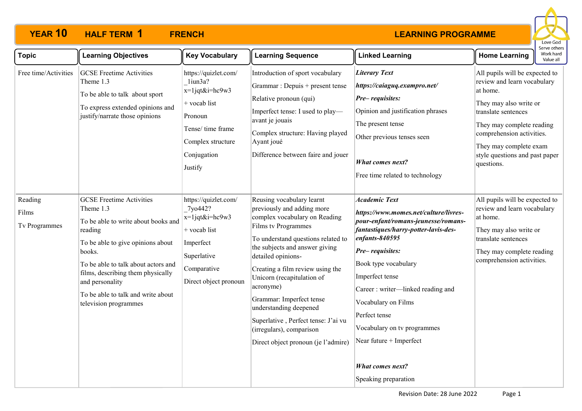

| <b>Topic</b>                      | <b>Learning Objectives</b>                                                                                                                                                                                                                                                                                  | <b>Key Vocabulary</b>                                                                                                                              | <b>Learning Sequence</b>                                                                                                                                                                                                                                                                                                                                                                                                                                     | <b>Linked Learning</b>                                                                                                                                                                                                                                                                                                                                                                                                            | <b>Home Learning</b>                                                                                                                                                                                                                                           | Work hard<br>Value all |
|-----------------------------------|-------------------------------------------------------------------------------------------------------------------------------------------------------------------------------------------------------------------------------------------------------------------------------------------------------------|----------------------------------------------------------------------------------------------------------------------------------------------------|--------------------------------------------------------------------------------------------------------------------------------------------------------------------------------------------------------------------------------------------------------------------------------------------------------------------------------------------------------------------------------------------------------------------------------------------------------------|-----------------------------------------------------------------------------------------------------------------------------------------------------------------------------------------------------------------------------------------------------------------------------------------------------------------------------------------------------------------------------------------------------------------------------------|----------------------------------------------------------------------------------------------------------------------------------------------------------------------------------------------------------------------------------------------------------------|------------------------|
| Free time/Activities              | <b>GCSE Freetime Activities</b><br>Theme 1.3<br>To be able to talk about sport<br>To express extended opinions and<br>justify/narrate those opinions                                                                                                                                                        | https://quizlet.com/<br>liun3a?<br>$x=1$ jqt&i=hc9w3<br>+ vocab list<br>Pronoun<br>Tense/time frame<br>Complex structure<br>Conjugation<br>Justify | Introduction of sport vocabulary<br>Grammar : Depuis + present tense<br>Relative pronoun (qui)<br>Imperfect tense: I used to play-<br>avant je jouais<br>Complex structure: Having played<br>Ayant joué<br>Difference between faire and jouer                                                                                                                                                                                                                | <b>Literary Text</b><br>https://caiaguq.exampro.net/<br>Pre-requisites:<br>Opinion and justification phrases<br>The present tense<br>Other previous tenses seen<br><b>What comes next?</b><br>Free time related to technology                                                                                                                                                                                                     | All pupils will be expected to<br>review and learn vocabulary<br>at home.<br>They may also write or<br>translate sentences<br>They may complete reading<br>comprehension activities.<br>They may complete exam<br>style questions and past paper<br>questions. |                        |
| Reading<br>Films<br>Tv Programmes | <b>GCSE Freetime Activities</b><br>Theme 1.3<br>To be able to write about books and<br>reading<br>To be able to give opinions about<br>books.<br>To be able to talk about actors and<br>films, describing them physically<br>and personality<br>To be able to talk and write about<br>television programmes | https://quizlet.com/<br>7yo442?<br>$x=1$ jqt&i=hc9w3<br>+ vocab list<br>Imperfect<br>Superlative<br>Comparative<br>Direct object pronoun           | Reusing vocabulary learnt<br>previously and adding more<br>complex vocabulary on Reading<br>Films tv Programmes<br>To understand questions related to<br>the subjects and answer giving<br>detailed opinions-<br>Creating a film review using the<br>Unicorn (recapitulation of<br>acronyme)<br>Grammar: Imperfect tense<br>understanding deepened<br>Superlative, Perfect tense: J'ai vu<br>(irregulars), comparison<br>Direct object pronoun (je l'admire) | <b>Academic Text</b><br>https://www.momes.net/culture/livres-<br>pour-enfant/romans-jeunesse/romans-<br>fantastiques/harry-potter-lavis-des-<br>$en{\text{fants-840595}}$<br>Pre-requisites:<br>Book type vocabulary<br>Imperfect tense<br>Career: writer-linked reading and<br>Vocabulary on Films<br>Perfect tense<br>Vocabulary on tv programmes<br>Near future + Imperfect<br><b>What comes next?</b><br>Speaking preparation | All pupils will be expected to<br>review and learn vocabulary<br>at home.<br>They may also write or<br>translate sentences<br>They may complete reading<br>comprehension activities.                                                                           |                        |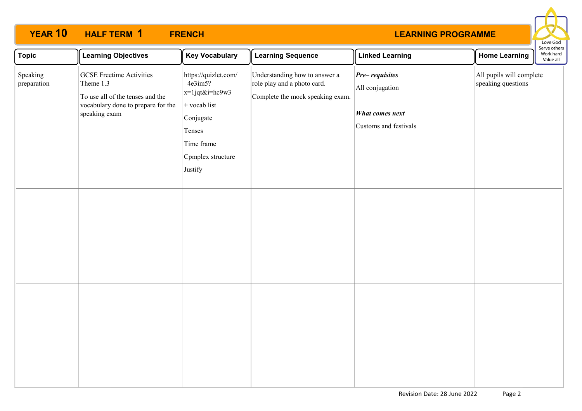

| <b>Topic</b>            | <b>Learning Objectives</b>                                                                                                              | <b>Key Vocabulary</b>                                                                                                                    | <b>Learning Sequence</b>                                                                         | <b>Linked Learning</b>                                                         | <b>Home Learning</b>                           | serve others<br>Work hard<br>Value all |
|-------------------------|-----------------------------------------------------------------------------------------------------------------------------------------|------------------------------------------------------------------------------------------------------------------------------------------|--------------------------------------------------------------------------------------------------|--------------------------------------------------------------------------------|------------------------------------------------|----------------------------------------|
| Speaking<br>preparation | <b>GCSE Freetime Activities</b><br>Theme 1.3<br>To use all of the tenses and the<br>vocabulary done to prepare for the<br>speaking exam | https://quizlet.com/<br>4e3im5?<br>x=1jqt&i=hc9w3<br>$+$ vocab list<br>Conjugate<br>Tenses<br>Time frame<br>Cpmplex structure<br>Justify | Understanding how to answer a<br>role play and a photo card.<br>Complete the mock speaking exam. | $Pre-requistes$<br>All conjugation<br>What comes next<br>Customs and festivals | All pupils will complete<br>speaking questions |                                        |
|                         |                                                                                                                                         |                                                                                                                                          |                                                                                                  |                                                                                |                                                |                                        |
|                         |                                                                                                                                         |                                                                                                                                          |                                                                                                  |                                                                                |                                                |                                        |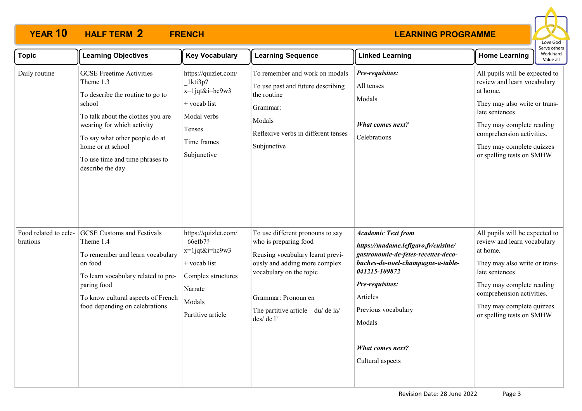

| <b>Topic</b>                      | <b>Learning Objectives</b>                                                                                                                                                                                                                                                  | <b>Key Vocabulary</b>                                                                                                                | <b>Learning Sequence</b>                                                                                                                                                                                                          | <b>Linked Learning</b>                                                                                                                                                                                                                                                       | בו עם טנווכו א<br>Work hard<br><b>Home Learning</b><br>Value all                                                                                                                                                                                 |
|-----------------------------------|-----------------------------------------------------------------------------------------------------------------------------------------------------------------------------------------------------------------------------------------------------------------------------|--------------------------------------------------------------------------------------------------------------------------------------|-----------------------------------------------------------------------------------------------------------------------------------------------------------------------------------------------------------------------------------|------------------------------------------------------------------------------------------------------------------------------------------------------------------------------------------------------------------------------------------------------------------------------|--------------------------------------------------------------------------------------------------------------------------------------------------------------------------------------------------------------------------------------------------|
| Daily routine                     | <b>GCSE Freetime Activities</b><br>Theme 1.3<br>To describe the routine to go to<br>school<br>To talk about the clothes you are<br>wearing for which activity<br>To say what other people do at<br>home or at school<br>To use time and time phrases to<br>describe the day | https://quizlet.com/<br>1kti3p?<br>$x=1$ jqt&i=hc9w3<br>+ vocab list<br>Modal verbs<br>Tenses<br>Time frames<br>Subjunctive          | To remember and work on modals<br>To use past and future describing<br>the routine<br>Grammar:<br>Modals<br>Reflexive verbs in different tenses<br>Subjunctive                                                                    | Pre-requisites:<br>All tenses<br>Modals<br><b>What comes next?</b><br>Celebrations                                                                                                                                                                                           | All pupils will be expected to<br>review and learn vocabulary<br>at home.<br>They may also write or trans-<br>late sentences<br>They may complete reading<br>comprehension activities.<br>They may complete quizzes<br>or spelling tests on SMHW |
| Food related to cele-<br>brations | <b>GCSE Customs and Festivals</b><br>Theme 1.4<br>To remember and learn vocabulary<br>on food<br>To learn vocabulary related to pre-<br>paring food<br>To know cultural aspects of French<br>food depending on celebrations                                                 | https://quizlet.com/<br>66efb7?<br>$x=1$ jqt&i=hc9w3<br>+ vocab list<br>Complex structures<br>Narrate<br>Modals<br>Partitive article | To use different pronouns to say<br>who is preparing food<br>Reusing vocabulary learnt previ-<br>ously and adding more complex<br>vocabulary on the topic<br>Grammar: Pronoun en<br>The partitive article-du/ de la/<br>des/de l' | <b>Academic Text from</b><br>https://madame.lefigaro.fr/cuisine/<br>gastronomie-de-fetes-recettes-deco-<br>buches-de-noel-champagne-a-table-<br>041215-109872<br>Pre-requisites:<br>Articles<br>Previous vocabulary<br>Modals<br><b>What comes next?</b><br>Cultural aspects | All pupils will be expected to<br>review and learn vocabulary<br>at home.<br>They may also write or trans-<br>late sentences<br>They may complete reading<br>comprehension activities.<br>They may complete quizzes<br>or spelling tests on SMHW |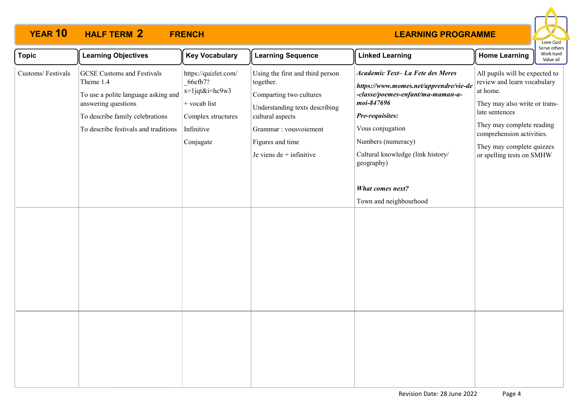

| <b>Topic</b>      | <b>Learning Objectives</b>                                                                                                                                                              | <b>Key Vocabulary</b>                                                                                              | <b>Learning Sequence</b>                                                                                                                                                                                   | <b>Linked Learning</b>                                                                                                                                                                                                                                                                             | <b>Home Learning</b>                                                                                                                                                                                                                             | serve others<br>Work hard<br>Value all |
|-------------------|-----------------------------------------------------------------------------------------------------------------------------------------------------------------------------------------|--------------------------------------------------------------------------------------------------------------------|------------------------------------------------------------------------------------------------------------------------------------------------------------------------------------------------------------|----------------------------------------------------------------------------------------------------------------------------------------------------------------------------------------------------------------------------------------------------------------------------------------------------|--------------------------------------------------------------------------------------------------------------------------------------------------------------------------------------------------------------------------------------------------|----------------------------------------|
| Customs/Festivals | <b>GCSE</b> Customs and Festivals<br>Theme 1.4<br>To use a polite language asking and<br>answering questions<br>To describe family celebrations<br>To describe festivals and traditions | https://quizlet.com/<br>66efb7?<br>x=1jqt&i=hc9w3<br>+ vocab list<br>Complex structures<br>Infinitive<br>Conjugate | Using the first and third person<br>together.<br>Comparting two cultures<br>Understanding texts describing<br>cultural aspects<br>Grammar : vousvoiement<br>Figures and time<br>Je viens $de +$ infinitive | Academic Text- La Fete des Meres<br>https://www.momes.net/apprendre/vie-de<br>-classe/poemes-enfant/ma-maman-a-<br>moi-847696<br>Pre-requisites:<br>Vous conjugation<br>Numbers (numeracy)<br>Cultural knowledge (link history/<br>geography)<br><b>What comes next?</b><br>Town and neighbourhood | All pupils will be expected to<br>review and learn vocabulary<br>at home.<br>They may also write or trans-<br>late sentences<br>They may complete reading<br>comprehension activities.<br>They may complete quizzes<br>or spelling tests on SMHW |                                        |
|                   |                                                                                                                                                                                         |                                                                                                                    |                                                                                                                                                                                                            |                                                                                                                                                                                                                                                                                                    |                                                                                                                                                                                                                                                  |                                        |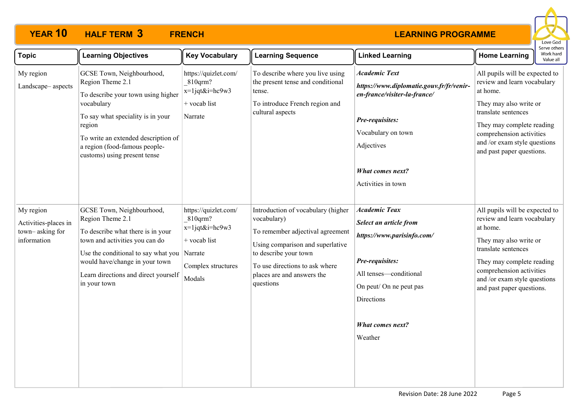

| <b>Topic</b>                                                        | <b>Learning Objectives</b>                                                                                                                                                                                                                                    | <b>Key Vocabulary</b>                                                                                | <b>Learning Sequence</b>                                                                                                                                                                                                        | <b>Linked Learning</b>                                                                                                                                                                                   | <b>Home Learning</b>                                                                                                                                                                                                                             | Work hard<br>Value all |
|---------------------------------------------------------------------|---------------------------------------------------------------------------------------------------------------------------------------------------------------------------------------------------------------------------------------------------------------|------------------------------------------------------------------------------------------------------|---------------------------------------------------------------------------------------------------------------------------------------------------------------------------------------------------------------------------------|----------------------------------------------------------------------------------------------------------------------------------------------------------------------------------------------------------|--------------------------------------------------------------------------------------------------------------------------------------------------------------------------------------------------------------------------------------------------|------------------------|
| My region<br>Landscape-aspects                                      | GCSE Town, Neighbourhood,<br>Region Theme 2.1<br>To describe your town using higher<br>vocabulary<br>To say what speciality is in your<br>region<br>To write an extended description of<br>a region (food-famous people-<br>customs) using present tense      | https://quizlet.com/<br>810qrm?<br>$x=1$ jqt&i=hc9w3<br>+ vocab list<br>Narrate                      | To describe where you live using<br>the present tense and conditional<br>tense.<br>To introduce French region and<br>cultural aspects                                                                                           | <b>Academic Text</b><br>https://www.diplomatie.gouv.fr/fr/venir-<br>en-france/visiter-la-france/<br>Pre-requisites:<br>Vocabulary on town<br>Adjectives<br>What comes next?<br>Activities in town        | All pupils will be expected to<br>review and learn vocabulary<br>at home.<br>They may also write or<br>translate sentences<br>They may complete reading<br>comprehension activities<br>and /or exam style questions<br>and past paper questions. |                        |
| My region<br>Activities-places in<br>town-asking for<br>information | GCSE Town, Neighbourhood,<br>Region Theme 2.1<br>To describe what there is in your<br>town and activities you can do<br>Use the conditional to say what you Narrate<br>would have/change in your town<br>Learn directions and direct yourself<br>in your town | https://quizlet.com/<br>810qrm?<br>$x=1$ jqt&i=hc9w3<br>+ vocab list<br>Complex structures<br>Modals | Introduction of vocabulary (higher<br>vocabulary)<br>To remember adjectival agreement<br>Using comparison and superlative<br>to describe your town<br>To use directions to ask where<br>places are and answers the<br>questions | <b>Academic Teax</b><br>Select an article from<br>https://www.parisinfo.com/<br>Pre-requisites:<br>All tenses-conditional<br>On peut/ On ne peut pas<br>Directions<br><b>What comes next?</b><br>Weather | All pupils will be expected to<br>review and learn vocabulary<br>at home.<br>They may also write or<br>translate sentences<br>They may complete reading<br>comprehension activities<br>and /or exam style questions<br>and past paper questions. |                        |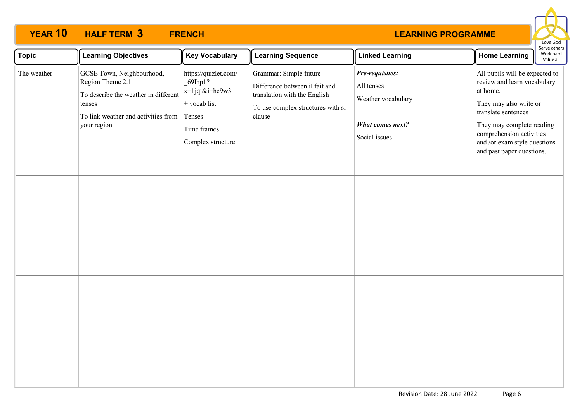

| <b>Topic</b> | <b>Learning Objectives</b>                                                                                                                            | <b>Key Vocabulary</b>                                                                                             | <b>Learning Sequence</b>                                                                                                                | <b>Linked Learning</b>                                                                          | Serve others<br>Work hard<br><b>Home Learning</b><br>Value all                                                                                                                                                                                   |  |
|--------------|-------------------------------------------------------------------------------------------------------------------------------------------------------|-------------------------------------------------------------------------------------------------------------------|-----------------------------------------------------------------------------------------------------------------------------------------|-------------------------------------------------------------------------------------------------|--------------------------------------------------------------------------------------------------------------------------------------------------------------------------------------------------------------------------------------------------|--|
| The weather  | GCSE Town, Neighbourhood,<br>Region Theme 2.1<br>To describe the weather in different<br>tenses<br>To link weather and activities from<br>your region | https://quizlet.com/<br>69lhp1?<br>x=1jqt&i=hc9w3<br>$+$ vocab list<br>Tenses<br>Time frames<br>Complex structure | Grammar: Simple future<br>Difference between il fait and<br>translation with the English<br>To use complex structures with si<br>clause | Pre-requisites:<br>All tenses<br>Weather vocabulary<br><b>What comes next?</b><br>Social issues | All pupils will be expected to<br>review and learn vocabulary<br>at home.<br>They may also write or<br>translate sentences<br>They may complete reading<br>comprehension activities<br>and /or exam style questions<br>and past paper questions. |  |
|              |                                                                                                                                                       |                                                                                                                   |                                                                                                                                         |                                                                                                 |                                                                                                                                                                                                                                                  |  |
|              |                                                                                                                                                       |                                                                                                                   |                                                                                                                                         |                                                                                                 |                                                                                                                                                                                                                                                  |  |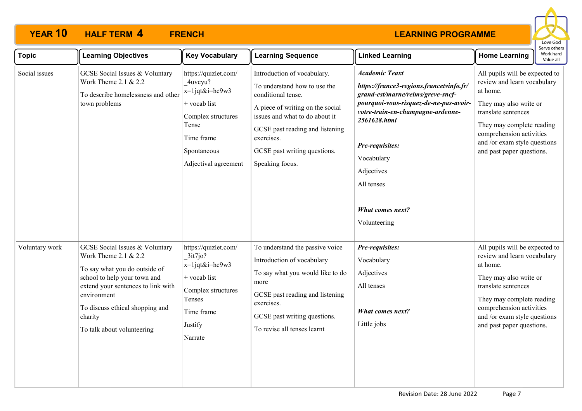

| <b>Topic</b>   | <b>Learning Objectives</b>                                                                                                                                                                                                                                          | <b>Key Vocabulary</b>                                                                                                                                      | <b>Learning Sequence</b>                                                                                                                                                                                                                                    | <b>Linked Learning</b>                                                                                                                                                                                                                                                                                        | serve others<br>Work hard<br><b>Home Learning</b><br>Value all                                                                                                                                                                                   |
|----------------|---------------------------------------------------------------------------------------------------------------------------------------------------------------------------------------------------------------------------------------------------------------------|------------------------------------------------------------------------------------------------------------------------------------------------------------|-------------------------------------------------------------------------------------------------------------------------------------------------------------------------------------------------------------------------------------------------------------|---------------------------------------------------------------------------------------------------------------------------------------------------------------------------------------------------------------------------------------------------------------------------------------------------------------|--------------------------------------------------------------------------------------------------------------------------------------------------------------------------------------------------------------------------------------------------|
| Social issues  | <b>GCSE</b> Social Issues & Voluntary<br>Work Theme 2.1 & 2.2<br>To describe homelessness and other<br>town problems                                                                                                                                                | https://quizlet.com/<br>4uvcyu?<br>$x=1$ jqt&i=hc9w3<br>$+$ vocab list<br>Complex structures<br>Tense<br>Time frame<br>Spontaneous<br>Adjectival agreement | Introduction of vocabulary.<br>To understand how to use the<br>conditional tense.<br>A piece of writing on the social<br>issues and what to do about it<br>GCSE past reading and listening<br>exercises.<br>GCSE past writing questions.<br>Speaking focus. | <b>Academic Teaxt</b><br>https://france3-regions.francetvinfo.fr/<br>grand-est/marne/reims/greve-sncf-<br>pourquoi-vous-risquez-de-ne-pas-avoir-<br>votre-train-en-champagne-ardenne-<br>2561628.html<br>Pre-requisites:<br>Vocabulary<br>Adjectives<br>All tenses<br><b>What comes next?</b><br>Volunteering | All pupils will be expected to<br>review and learn vocabulary<br>at home.<br>They may also write or<br>translate sentences<br>They may complete reading<br>comprehension activities<br>and /or exam style questions<br>and past paper questions. |
| Voluntary work | <b>GCSE Social Issues &amp; Voluntary</b><br>Work Theme 2.1 & 2.2<br>To say what you do outside of<br>school to help your town and<br>extend your sentences to link with<br>environment<br>To discuss ethical shopping and<br>charity<br>To talk about volunteering | https://quizlet.com/<br>3it7j0?<br>$x=1$ jqt&i=hc9w3<br>+ vocab list<br>Complex structures<br>Tenses<br>Time frame<br>Justify<br>Narrate                   | To understand the passive voice<br>Introduction of vocabulary<br>To say what you would like to do<br>more<br>GCSE past reading and listening<br>exercises.<br>GCSE past writing questions.<br>To revise all tenses learnt                                   | Pre-requisites:<br>Vocabulary<br>Adjectives<br>All tenses<br><b>What comes next?</b><br>Little jobs                                                                                                                                                                                                           | All pupils will be expected to<br>review and learn vocabulary<br>at home.<br>They may also write or<br>translate sentences<br>They may complete reading<br>comprehension activities<br>and /or exam style questions<br>and past paper questions. |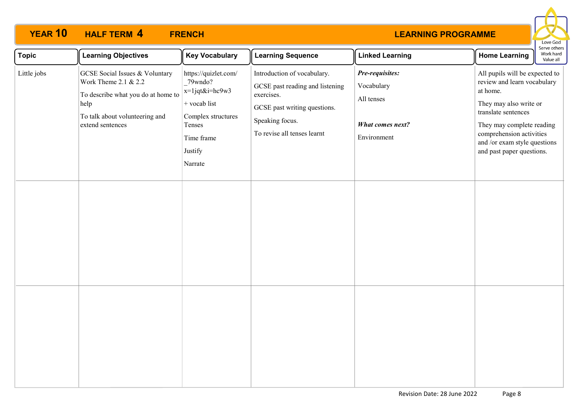

| <b>Topic</b> | <b>Learning Objectives</b>                                                                                                                                        | <b>Key Vocabulary</b>                                                                                                                      | <b>Learning Sequence</b>                                                                                                                                       | <b>Linked Learning</b>                                                                | <b>Home Learning</b>                                                                                                                                                                                                                             | <b>JEI VE ULIIEI S</b><br>Work hard<br>Value all |
|--------------|-------------------------------------------------------------------------------------------------------------------------------------------------------------------|--------------------------------------------------------------------------------------------------------------------------------------------|----------------------------------------------------------------------------------------------------------------------------------------------------------------|---------------------------------------------------------------------------------------|--------------------------------------------------------------------------------------------------------------------------------------------------------------------------------------------------------------------------------------------------|--------------------------------------------------|
| Little jobs  | <b>GCSE</b> Social Issues & Voluntary<br>Work Theme 2.1 & 2.2<br>To describe what you do at home to<br>help<br>To talk about volunteering and<br>extend sentences | https://quizlet.com/<br>79wndo?<br>$x=1$ jqt&i=hc9w3<br>$+$ vocab list<br>Complex structures<br>Tenses<br>Time frame<br>Justify<br>Narrate | Introduction of vocabulary.<br>GCSE past reading and listening<br>exercises.<br>GCSE past writing questions.<br>Speaking focus.<br>To revise all tenses learnt | Pre-requisites:<br>Vocabulary<br>All tenses<br><b>What comes next?</b><br>Environment | All pupils will be expected to<br>review and learn vocabulary<br>at home.<br>They may also write or<br>translate sentences<br>They may complete reading<br>comprehension activities<br>and /or exam style questions<br>and past paper questions. |                                                  |
|              |                                                                                                                                                                   |                                                                                                                                            |                                                                                                                                                                |                                                                                       |                                                                                                                                                                                                                                                  |                                                  |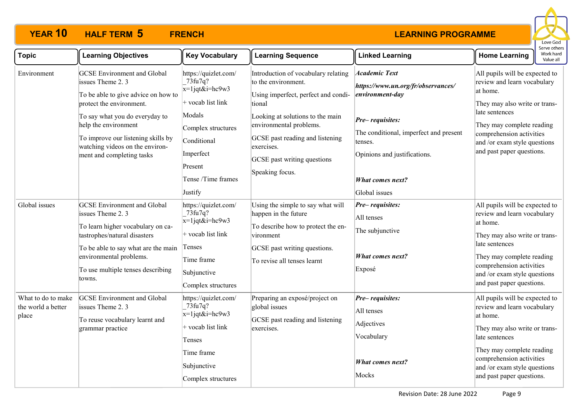

| <b>Topic</b>                                      | <b>Learning Objectives</b>                                                                                                                                                                                                                                                                | <b>Key Vocabulary</b>                                                                                                                                                               | <b>Learning Sequence</b>                                                                                                                                                                                                                                                      | <b>Linked Learning</b>                                                                                                                                                                                                     | <b>Home Learning</b>                                                                                                                                                                                                                               | Work hard<br>Value all |
|---------------------------------------------------|-------------------------------------------------------------------------------------------------------------------------------------------------------------------------------------------------------------------------------------------------------------------------------------------|-------------------------------------------------------------------------------------------------------------------------------------------------------------------------------------|-------------------------------------------------------------------------------------------------------------------------------------------------------------------------------------------------------------------------------------------------------------------------------|----------------------------------------------------------------------------------------------------------------------------------------------------------------------------------------------------------------------------|----------------------------------------------------------------------------------------------------------------------------------------------------------------------------------------------------------------------------------------------------|------------------------|
| Environment                                       | <b>GCSE</b> Environment and Global<br>issues Theme 2.3<br>To be able to give advice on how to<br>protect the environment.<br>To say what you do everyday to<br>help the environment<br>To improve our listening skills by<br>watching videos on the environ-<br>ment and completing tasks | https://quizlet.com/<br>73fu7q?<br>$x=1$ jqt&i=hc9w3<br>$+$ vocab list link<br>Modals<br>Complex structures<br>Conditional<br>Imperfect<br>Present<br>Tense /Time frames<br>Justify | Introduction of vocabulary relating<br>to the environment.<br>Using imperfect, perfect and condi-<br>tional<br>Looking at solutions to the main<br>environmental problems.<br>GCSE past reading and listening<br>exercises.<br>GCSE past writing questions<br>Speaking focus. | <b>Academic Text</b><br>https://www.un.org/fr/observances/<br>environment-day<br>Pre-requisites:<br>The conditional, imperfect and present<br>tenses.<br>Opinions and justifications.<br>What comes next?<br>Global issues | All pupils will be expected to<br>review and learn vocabulary<br>at home.<br>They may also write or trans-<br>late sentences<br>They may complete reading<br>comprehension activities<br>and /or exam style questions<br>and past paper questions. |                        |
| Global issues                                     | <b>GCSE</b> Environment and Global<br>issues Theme 2.3<br>To learn higher vocabulary on ca-<br>tastrophes/natural disasters<br>To be able to say what are the main<br>environmental problems.<br>To use multiple tenses describing<br>towns.                                              | https://quizlet.com/<br>73fu7q?<br>$x=1$ jqt&i=hc9w3<br>$+$ vocab list link<br>Tenses<br>Time frame<br>Subjunctive<br>Complex structures                                            | Using the simple to say what will<br>happen in the future<br>To describe how to protect the en-<br>vironment<br>GCSE past writing questions.<br>To revise all tenses learnt                                                                                                   | Pre-requisites:<br>All tenses<br>The subjunctive<br><b>What comes next?</b><br>Exposé                                                                                                                                      | All pupils will be expected to<br>review and learn vocabulary<br>at home.<br>They may also write or trans-<br>late sentences<br>They may complete reading<br>comprehension activities<br>and /or exam style questions<br>and past paper questions. |                        |
| What to do to make<br>the world a better<br>place | <b>GCSE</b> Environment and Global<br>issues Theme 2.3<br>To reuse vocabulary learnt and<br>grammar practice                                                                                                                                                                              | https://quizlet.com/<br>73fu7q?<br>$x=1$ jqt&i=hc9w3<br>$+$ vocab list link<br>Tenses<br>Time frame<br>Subjunctive<br>Complex structures                                            | Preparing an exposé/project on<br>global issues<br>GCSE past reading and listening<br>exercises.                                                                                                                                                                              | Pre-requisites:<br>All tenses<br>Adjectives<br>Vocabulary<br><b>What comes next?</b><br>Mocks                                                                                                                              | All pupils will be expected to<br>review and learn vocabulary<br>at home.<br>They may also write or trans-<br>late sentences<br>They may complete reading<br>comprehension activities<br>and /or exam style questions<br>and past paper questions. |                        |